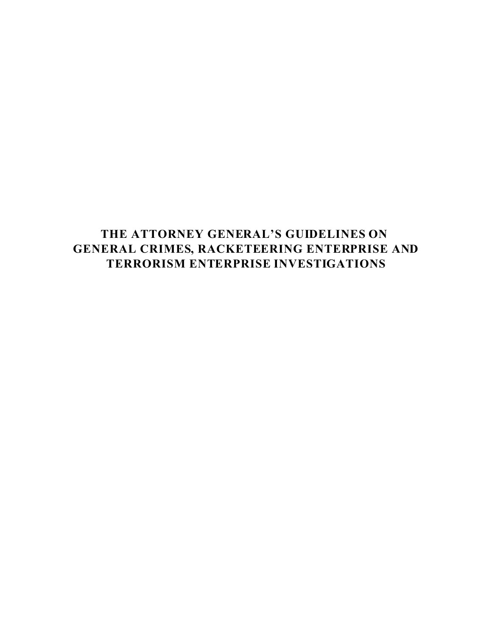# **THE ATTORNEY GENERAL'S GUIDELINES ON GENERAL CRIMES, RACKETEERING ENTERPRISE AND TERRORISM ENTERPRISE INVESTIGATIONS**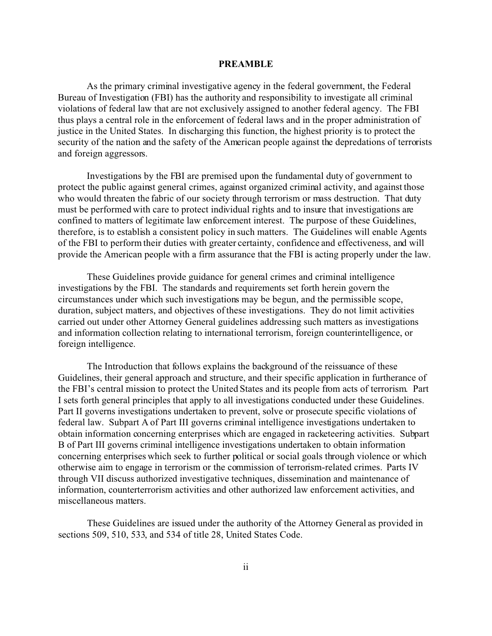#### **PREAMBLE**

As the primary criminal investigative agency in the federal government, the Federal Bureau of Investigation (FBI) has the authority and responsibility to investigate all criminal violations of federal law that are not exclusively assigned to another federal agency. The FBI thus plays a central role in the enforcement of federal laws and in the proper administration of justice in the United States. In discharging this function, the highest priority is to protect the security of the nation and the safety of the American people against the depredations of terrorists and foreign aggressors.

Investigations by the FBI are premised upon the fundamental duty of government to protect the public against general crimes, against organized criminal activity, and against those who would threaten the fabric of our society through terrorism or mass destruction. That duty must be performed with care to protect individual rights and to insure that investigations are confined to matters of legitimate law enforcement interest. The purpose of these Guidelines, therefore, is to establish a consistent policy in such matters. The Guidelines will enable Agents of the FBI to perform their duties with greater certainty, confidence and effectiveness, and will provide the American people with a firm assurance that the FBI is acting properly under the law.

These Guidelines provide guidance for general crimes and criminal intelligence investigations by the FBI. The standards and requirements set forth herein govern the circumstances under which such investigations may be begun, and the permissible scope, duration, subject matters, and objectives of these investigations. They do not limit activities carried out under other Attorney General guidelines addressing such matters as investigations and information collection relating to international terrorism, foreign counterintelligence, or foreign intelligence.

The Introduction that follows explains the background of the reissuance of these Guidelines, their general approach and structure, and their specific application in furtherance of the FBI's central mission to protect the United States and its people from acts of terrorism. Part I sets forth general principles that apply to all investigations conducted under these Guidelines. Part II governs investigations undertaken to prevent, solve or prosecute specific violations of federal law. Subpart A of Part III governs criminal intelligence investigations undertaken to obtain information concerning enterprises which are engaged in racketeering activities. Subpart B of Part III governs criminal intelligence investigations undertaken to obtain information concerning enterprises which seek to further political or social goals through violence or which otherwise aim to engage in terrorism or the commission of terrorism-related crimes. Parts IV through VII discuss authorized investigative techniques, dissemination and maintenance of information, counterterrorism activities and other authorized law enforcement activities, and miscellaneous matters.

These Guidelines are issued under the authority of the Attorney General as provided in sections 509, 510, 533, and 534 of title 28, United States Code.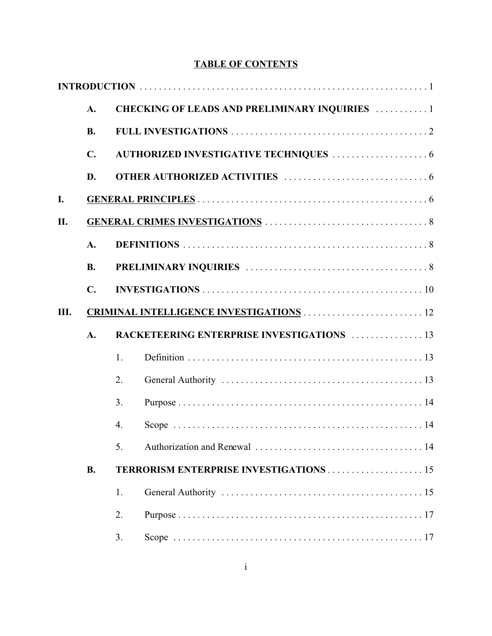# **TABLE OF CONTENTS**

|      | $\mathbf{A}$ . | <b>CHECKING OF LEADS AND PRELIMINARY INQUIRIES</b> 1 |                                                  |  |  |
|------|----------------|------------------------------------------------------|--------------------------------------------------|--|--|
|      | <b>B.</b>      |                                                      |                                                  |  |  |
|      | $\mathbf{C}$ . |                                                      |                                                  |  |  |
|      | D.             |                                                      |                                                  |  |  |
| I.   |                |                                                      |                                                  |  |  |
| II.  |                |                                                      |                                                  |  |  |
|      | $\mathbf{A}$ . |                                                      |                                                  |  |  |
|      | <b>B.</b>      |                                                      |                                                  |  |  |
|      | $\mathbf{C}$ . |                                                      |                                                  |  |  |
| III. |                |                                                      |                                                  |  |  |
|      | $\mathbf{A}$ . |                                                      | <b>RACKETEERING ENTERPRISE INVESTIGATIONS</b> 13 |  |  |
|      |                | 1.                                                   |                                                  |  |  |
|      |                | 2.                                                   |                                                  |  |  |
|      |                | 3.                                                   |                                                  |  |  |
|      |                | 4.                                                   |                                                  |  |  |
|      |                | 5.                                                   |                                                  |  |  |
|      | <b>B.</b>      |                                                      | <b>TERRORISM ENTERPRISE INVESTIGATIONS  15</b>   |  |  |
|      |                | 1.                                                   |                                                  |  |  |
|      |                | 2.                                                   |                                                  |  |  |
|      |                | 3.                                                   |                                                  |  |  |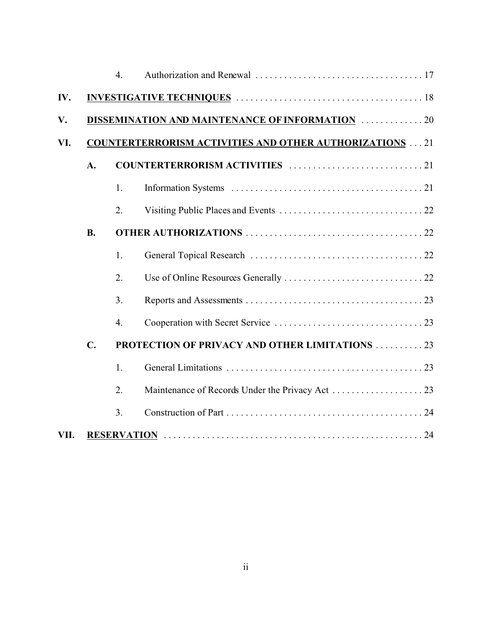|                |  | $\overline{4}$ .                                      |                                                                |  |
|----------------|--|-------------------------------------------------------|----------------------------------------------------------------|--|
|                |  |                                                       |                                                                |  |
|                |  |                                                       | <b>DISSEMINATION AND MAINTENANCE OF INFORMATION 20</b>         |  |
|                |  |                                                       | <b>COUNTERTERRORISM ACTIVITIES AND OTHER AUTHORIZATIONS 21</b> |  |
| A.             |  |                                                       |                                                                |  |
|                |  | 1.                                                    |                                                                |  |
|                |  | 2.                                                    |                                                                |  |
| <b>B.</b>      |  |                                                       |                                                                |  |
|                |  | 1.                                                    |                                                                |  |
|                |  | 2.                                                    |                                                                |  |
|                |  | 3.                                                    |                                                                |  |
|                |  | $\overline{4}$ .                                      |                                                                |  |
| $\mathbf{C}$ . |  | <b>PROTECTION OF PRIVACY AND OTHER LIMITATIONS 23</b> |                                                                |  |
|                |  | 1.                                                    |                                                                |  |
|                |  | 2.                                                    |                                                                |  |
|                |  | 3 <sub>1</sub>                                        |                                                                |  |
|                |  |                                                       |                                                                |  |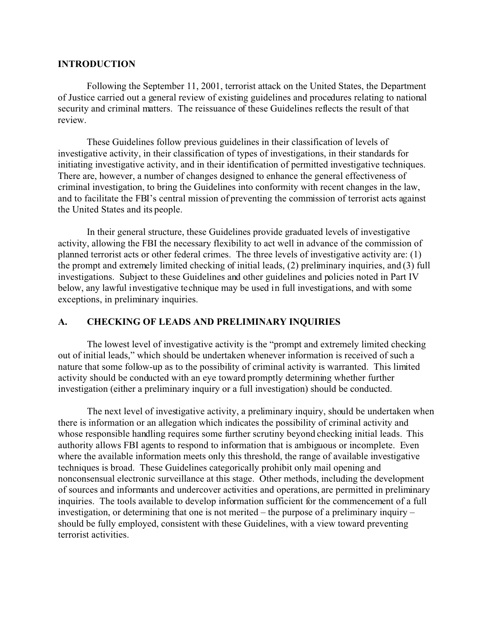#### **INTRODUCTION**

Following the September 11, 2001, terrorist attack on the United States, the Department of Justice carried out a general review of existing guidelines and procedures relating to national security and criminal matters. The reissuance of these Guidelines reflects the result of that review.

These Guidelines follow previous guidelines in their classification of levels of investigative activity, in their classification of types of investigations, in their standards for initiating investigative activity, and in their identification of permitted investigative techniques. There are, however, a number of changes designed to enhance the general effectiveness of criminal investigation, to bring the Guidelines into conformity with recent changes in the law, and to facilitate the FBI's central mission of preventing the commission of terrorist acts against the United States and its people.

In their general structure, these Guidelines provide graduated levels of investigative activity, allowing the FBI the necessary flexibility to act well in advance of the commission of planned terrorist acts or other federal crimes. The three levels of investigative activity are: (1) the prompt and extremely limited checking of initial leads, (2) preliminary inquiries, and (3) full investigations. Subject to these Guidelines and other guidelines and policies noted in Part IV below, any lawful investigative technique may be used in full investigations, and with some exceptions, in preliminary inquiries.

## **A. CHECKING OF LEADS AND PRELIMINARY INQUIRIES**

The lowest level of investigative activity is the "prompt and extremely limited checking out of initial leads," which should be undertaken whenever information is received of such a nature that some follow-up as to the possibility of criminal activity is warranted. This limited activity should be conducted with an eye toward promptly determining whether further investigation (either a preliminary inquiry or a full investigation) should be conducted.

The next level of investigative activity, a preliminary inquiry, should be undertaken when there is information or an allegation which indicates the possibility of criminal activity and whose responsible handling requires some further scrutiny beyond checking initial leads. This authority allows FBI agents to respond to information that is ambiguous or incomplete. Even where the available information meets only this threshold, the range of available investigative techniques is broad. These Guidelines categorically prohibit only mail opening and nonconsensual electronic surveillance at this stage. Other methods, including the development of sources and informants and undercover activities and operations, are permitted in preliminary inquiries. The tools available to develop information sufficient for the commencement of a full investigation, or determining that one is not merited – the purpose of a preliminary inquiry – should be fully employed, consistent with these Guidelines, with a view toward preventing terrorist activities.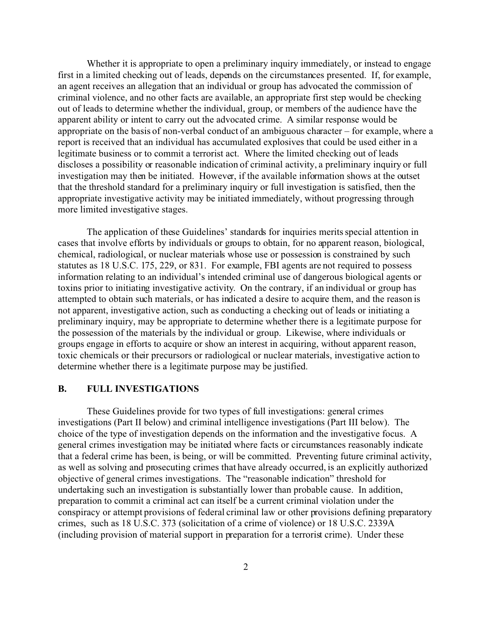Whether it is appropriate to open a preliminary inquiry immediately, or instead to engage first in a limited checking out of leads, depends on the circumstances presented. If, for example, an agent receives an allegation that an individual or group has advocated the commission of criminal violence, and no other facts are available, an appropriate first step would be checking out of leads to determine whether the individual, group, or members of the audience have the apparent ability or intent to carry out the advocated crime. A similar response would be appropriate on the basis of non-verbal conduct of an ambiguous character – for example, where a report is received that an individual has accumulated explosives that could be used either in a legitimate business or to commit a terrorist act. Where the limited checking out of leads discloses a possibility or reasonable indication of criminal activity, a preliminary inquiry or full investigation may then be initiated. However, if the available information shows at the outset that the threshold standard for a preliminary inquiry or full investigation is satisfied, then the appropriate investigative activity may be initiated immediately, without progressing through more limited investigative stages.

The application of these Guidelines' standards for inquiries merits special attention in cases that involve efforts by individuals or groups to obtain, for no apparent reason, biological, chemical, radiological, or nuclear materials whose use or possession is constrained by such statutes as 18 U.S.C. 175, 229, or 831. For example, FBI agents are not required to possess information relating to an individual's intended criminal use of dangerous biological agents or toxins prior to initiating investigative activity. On the contrary, if an individual or group has attempted to obtain such materials, or has indicated a desire to acquire them, and the reason is not apparent, investigative action, such as conducting a checking out of leads or initiating a preliminary inquiry, may be appropriate to determine whether there is a legitimate purpose for the possession of the materials by the individual or group. Likewise, where individuals or groups engage in efforts to acquire or show an interest in acquiring, without apparent reason, toxic chemicals or their precursors or radiological or nuclear materials, investigative action to determine whether there is a legitimate purpose may be justified.

#### **B. FULL INVESTIGATIONS**

These Guidelines provide for two types of full investigations: general crimes investigations (Part II below) and criminal intelligence investigations (Part III below). The choice of the type of investigation depends on the information and the investigative focus. A general crimes investigation may be initiated where facts or circumstances reasonably indicate that a federal crime has been, is being, or will be committed. Preventing future criminal activity, as well as solving and prosecuting crimes that have already occurred, is an explicitly authorized objective of general crimes investigations. The "reasonable indication" threshold for undertaking such an investigation is substantially lower than probable cause. In addition, preparation to commit a criminal act can itself be a current criminal violation under the conspiracy or attempt provisions of federal criminal law or other provisions defining preparatory crimes, such as 18 U.S.C. 373 (solicitation of a crime of violence) or 18 U.S.C. 2339A (including provision of material support in preparation for a terrorist crime). Under these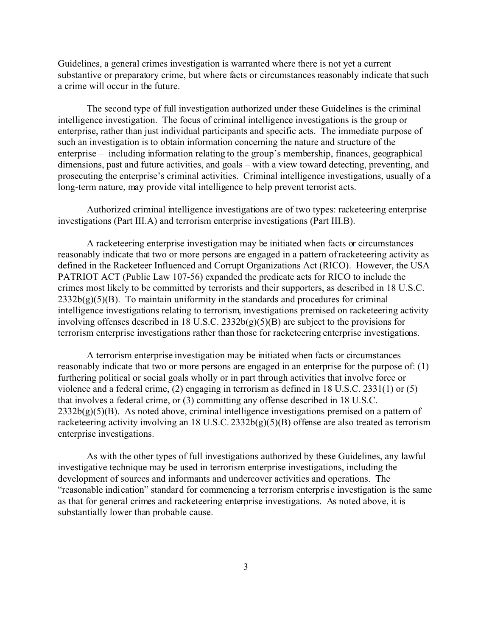Guidelines, a general crimes investigation is warranted where there is not yet a current substantive or preparatory crime, but where facts or circumstances reasonably indicate that such a crime will occur in the future.

The second type of full investigation authorized under these Guidelines is the criminal intelligence investigation. The focus of criminal intelligence investigations is the group or enterprise, rather than just individual participants and specific acts. The immediate purpose of such an investigation is to obtain information concerning the nature and structure of the enterprise – including information relating to the group's membership, finances, geographical dimensions, past and future activities, and goals – with a view toward detecting, preventing, and prosecuting the enterprise's criminal activities. Criminal intelligence investigations, usually of a long-term nature, may provide vital intelligence to help prevent terrorist acts.

Authorized criminal intelligence investigations are of two types: racketeering enterprise investigations (Part III.A) and terrorism enterprise investigations (Part III.B).

A racketeering enterprise investigation may be initiated when facts or circumstances reasonably indicate that two or more persons are engaged in a pattern of racketeering activity as defined in the Racketeer Influenced and Corrupt Organizations Act (RICO). However, the USA PATRIOT ACT (Public Law 107-56) expanded the predicate acts for RICO to include the crimes most likely to be committed by terrorists and their supporters, as described in 18 U.S.C.  $2332b(g)(5)(B)$ . To maintain uniformity in the standards and procedures for criminal intelligence investigations relating to terrorism, investigations premised on racketeering activity involving offenses described in 18 U.S.C.  $2332b(g)(5)(B)$  are subject to the provisions for terrorism enterprise investigations rather than those for racketeering enterprise investigations.

A terrorism enterprise investigation may be initiated when facts or circumstances reasonably indicate that two or more persons are engaged in an enterprise for the purpose of: (1) furthering political or social goals wholly or in part through activities that involve force or violence and a federal crime, (2) engaging in terrorism as defined in 18 U.S.C. 2331(1) or (5) that involves a federal crime, or (3) committing any offense described in 18 U.S.C.  $2332b(g)(5)(B)$ . As noted above, criminal intelligence investigations premised on a pattern of racketeering activity involving an 18 U.S.C. 2332b(g)(5)(B) offense are also treated as terrorism enterprise investigations.

As with the other types of full investigations authorized by these Guidelines, any lawful investigative technique may be used in terrorism enterprise investigations, including the development of sources and informants and undercover activities and operations. The "reasonable indication" standard for commencing a terrorism enterprise investigation is the same as that for general crimes and racketeering enterprise investigations. As noted above, it is substantially lower than probable cause.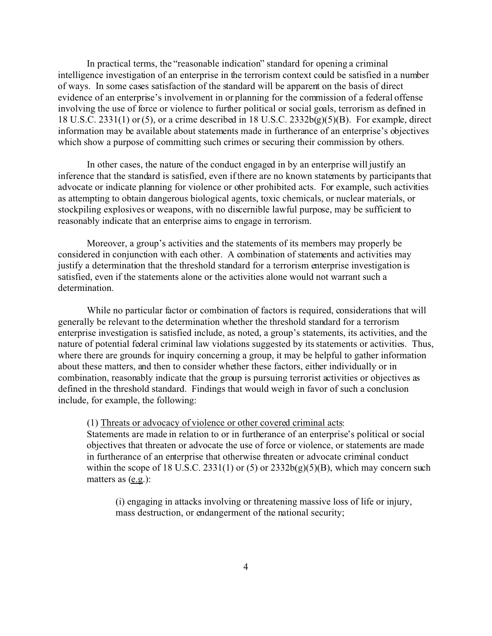In practical terms, the "reasonable indication" standard for opening a criminal intelligence investigation of an enterprise in the terrorism context could be satisfied in a number of ways. In some cases satisfaction of the standard will be apparent on the basis of direct evidence of an enterprise's involvement in or planning for the commission of a federal offense involving the use of force or violence to further political or social goals, terrorism as defined in 18 U.S.C. 2331(1) or (5), or a crime described in 18 U.S.C. 2332b(g)(5)(B). For example, direct information may be available about statements made in furtherance of an enterprise's objectives which show a purpose of committing such crimes or securing their commission by others.

In other cases, the nature of the conduct engaged in by an enterprise will justify an inference that the standard is satisfied, even if there are no known statements by participants that advocate or indicate planning for violence or other prohibited acts. For example, such activities as attempting to obtain dangerous biological agents, toxic chemicals, or nuclear materials, or stockpiling explosives or weapons, with no discernible lawful purpose, may be sufficient to reasonably indicate that an enterprise aims to engage in terrorism.

Moreover, a group's activities and the statements of its members may properly be considered in conjunction with each other. A combination of statements and activities may justify a determination that the threshold standard for a terrorism enterprise investigation is satisfied, even if the statements alone or the activities alone would not warrant such a determination.

While no particular factor or combination of factors is required, considerations that will generally be relevant to the determination whether the threshold standard for a terrorism enterprise investigation is satisfied include, as noted, a group's statements, its activities, and the nature of potential federal criminal law violations suggested by its statements or activities. Thus, where there are grounds for inquiry concerning a group, it may be helpful to gather information about these matters, and then to consider whether these factors, either individually or in combination, reasonably indicate that the group is pursuing terrorist activities or objectives as defined in the threshold standard. Findings that would weigh in favor of such a conclusion include, for example, the following:

(1) Threats or advocacy of violence or other covered criminal acts:

Statements are made in relation to or in furtherance of an enterprise's political or social objectives that threaten or advocate the use of force or violence, or statements are made in furtherance of an enterprise that otherwise threaten or advocate criminal conduct within the scope of 18 U.S.C. 2331(1) or (5) or  $2332b(g)(5)(B)$ , which may concern such matters as  $(e.g.)$ :

(i) engaging in attacks involving or threatening massive loss of life or injury, mass destruction, or endangerment of the national security;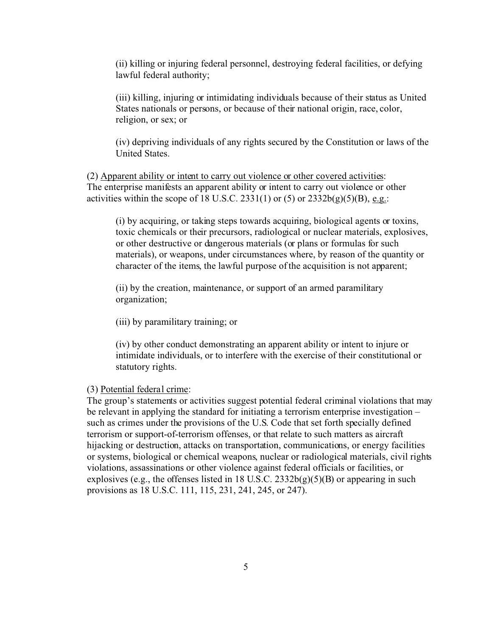(ii) killing or injuring federal personnel, destroying federal facilities, or defying lawful federal authority;

(iii) killing, injuring or intimidating individuals because of their status as United States nationals or persons, or because of their national origin, race, color, religion, or sex; or

(iv) depriving individuals of any rights secured by the Constitution or laws of the United States.

(2) Apparent ability or intent to carry out violence or other covered activities: The enterprise manifests an apparent ability or intent to carry out violence or other activities within the scope of 18 U.S.C.  $2331(1)$  or  $(5)$  or  $2332b(g)(5)(B)$ , e.g.:

(i) by acquiring, or taking steps towards acquiring, biological agents or toxins, toxic chemicals or their precursors, radiological or nuclear materials, explosives, or other destructive or dangerous materials (or plans or formulas for such materials), or weapons, under circumstances where, by reason of the quantity or character of the items, the lawful purpose of the acquisition is not apparent;

(ii) by the creation, maintenance, or support of an armed paramilitary organization;

(iii) by paramilitary training; or

(iv) by other conduct demonstrating an apparent ability or intent to injure or intimidate individuals, or to interfere with the exercise of their constitutional or statutory rights.

(3) Potential federal crime:

The group's statements or activities suggest potential federal criminal violations that may be relevant in applying the standard for initiating a terrorism enterprise investigation – such as crimes under the provisions of the U.S. Code that set forth specially defined terrorism or support-of-terrorism offenses, or that relate to such matters as aircraft hijacking or destruction, attacks on transportation, communications, or energy facilities or systems, biological or chemical weapons, nuclear or radiological materials, civil rights violations, assassinations or other violence against federal officials or facilities, or explosives (e.g., the offenses listed in 18 U.S.C.  $2332b(g)(5)(B)$  or appearing in such provisions as 18 U.S.C. 111, 115, 231, 241, 245, or 247).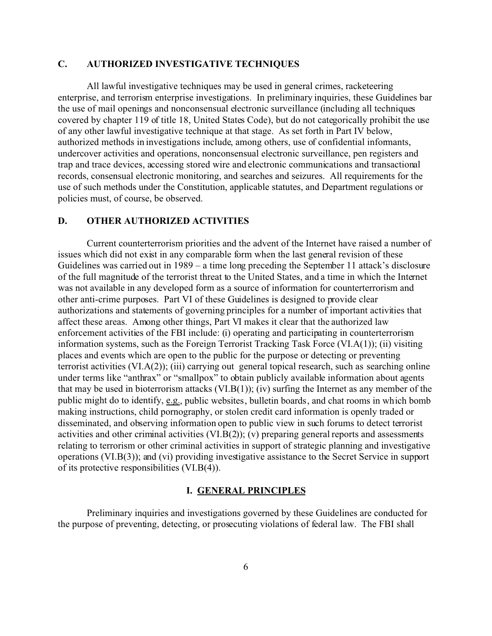## **C. AUTHORIZED INVESTIGATIVE TECHNIQUES**

All lawful investigative techniques may be used in general crimes, racketeering enterprise, and terrorism enterprise investigations. In preliminary inquiries, these Guidelines bar the use of mail openings and nonconsensual electronic surveillance (including all techniques covered by chapter 119 of title 18, United States Code), but do not categorically prohibit the use of any other lawful investigative technique at that stage. As set forth in Part IV below, authorized methods in investigations include, among others, use of confidential informants, undercover activities and operations, nonconsensual electronic surveillance, pen registers and trap and trace devices, accessing stored wire and electronic communications and transactional records, consensual electronic monitoring, and searches and seizures. All requirements for the use of such methods under the Constitution, applicable statutes, and Department regulations or policies must, of course, be observed.

## **D. OTHER AUTHORIZED ACTIVITIES**

Current counterterrorism priorities and the advent of the Internet have raised a number of issues which did not exist in any comparable form when the last general revision of these Guidelines was carried out in 1989 – a time long preceding the September 11 attack's disclosure of the full magnitude of the terrorist threat to the United States, and a time in which the Internet was not available in any developed form as a source of information for counterterrorism and other anti-crime purposes. Part VI of these Guidelines is designed to provide clear authorizations and statements of governing principles for a number of important activities that affect these areas. Among other things, Part VI makes it clear that the authorized law enforcement activities of the FBI include: (i) operating and participating in counterterrorism information systems, such as the Foreign Terrorist Tracking Task Force (VI.A(1)); (ii) visiting places and events which are open to the public for the purpose or detecting or preventing terrorist activities (VI.A(2)); (iii) carrying out general topical research, such as searching online under terms like "anthrax" or "smallpox" to obtain publicly available information about agents that may be used in bioterrorism attacks (VI.B(1)); (iv) surfing the Internet as any member of the public might do to identify, e.g., public websites, bulletin boards, and chat rooms in which bomb making instructions, child pornography, or stolen credit card information is openly traded or disseminated, and observing information open to public view in such forums to detect terrorist activities and other criminal activities (VI.B(2)); (v) preparing general reports and assessments relating to terrorism or other criminal activities in support of strategic planning and investigative operations (VI.B(3)); and (vi) providing investigative assistance to the Secret Service in support of its protective responsibilities (VI.B(4)).

#### **I. GENERAL PRINCIPLES**

Preliminary inquiries and investigations governed by these Guidelines are conducted for the purpose of preventing, detecting, or prosecuting violations of federal law. The FBI shall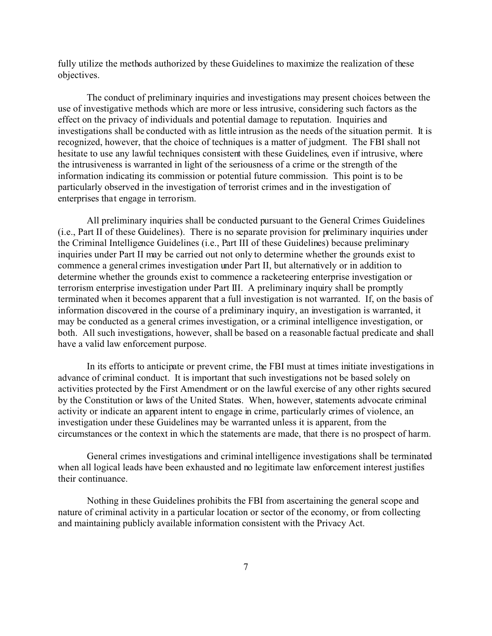fully utilize the methods authorized by these Guidelines to maximize the realization of these objectives.

The conduct of preliminary inquiries and investigations may present choices between the use of investigative methods which are more or less intrusive, considering such factors as the effect on the privacy of individuals and potential damage to reputation. Inquiries and investigations shall be conducted with as little intrusion as the needs of the situation permit. It is recognized, however, that the choice of techniques is a matter of judgment. The FBI shall not hesitate to use any lawful techniques consistent with these Guidelines, even if intrusive, where the intrusiveness is warranted in light of the seriousness of a crime or the strength of the information indicating its commission or potential future commission. This point is to be particularly observed in the investigation of terrorist crimes and in the investigation of enterprises that engage in terrorism.

All preliminary inquiries shall be conducted pursuant to the General Crimes Guidelines (i.e., Part II of these Guidelines). There is no separate provision for preliminary inquiries under the Criminal Intelligence Guidelines (i.e., Part III of these Guidelines) because preliminary inquiries under Part II may be carried out not only to determine whether the grounds exist to commence a general crimes investigation under Part II, but alternatively or in addition to determine whether the grounds exist to commence a racketeering enterprise investigation or terrorism enterprise investigation under Part III. A preliminary inquiry shall be promptly terminated when it becomes apparent that a full investigation is not warranted. If, on the basis of information discovered in the course of a preliminary inquiry, an investigation is warranted, it may be conducted as a general crimes investigation, or a criminal intelligence investigation, or both. All such investigations, however, shall be based on a reasonable factual predicate and shall have a valid law enforcement purpose.

In its efforts to anticipate or prevent crime, the FBI must at times initiate investigations in advance of criminal conduct. It is important that such investigations not be based solely on activities protected by the First Amendment or on the lawful exercise of any other rights secured by the Constitution or laws of the United States. When, however, statements advocate criminal activity or indicate an apparent intent to engage in crime, particularly crimes of violence, an investigation under these Guidelines may be warranted unless it is apparent, from the circumstances or the context in which the statements are made, that there is no prospect of harm.

General crimes investigations and criminal intelligence investigations shall be terminated when all logical leads have been exhausted and no legitimate law enforcement interest justifies their continuance.

Nothing in these Guidelines prohibits the FBI from ascertaining the general scope and nature of criminal activity in a particular location or sector of the economy, or from collecting and maintaining publicly available information consistent with the Privacy Act.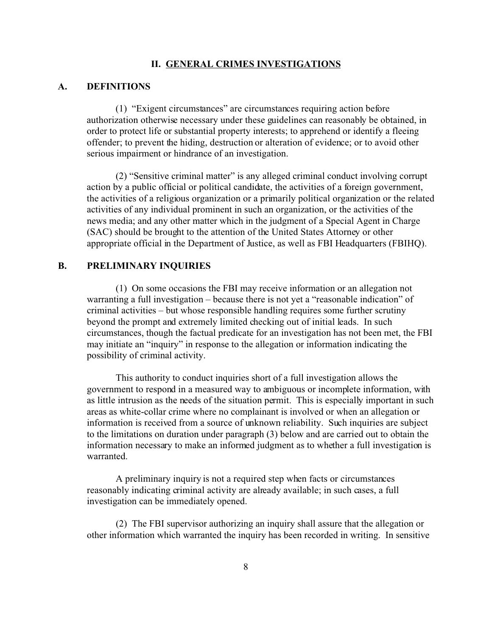#### **II. GENERAL CRIMES INVESTIGATIONS**

#### **A. DEFINITIONS**

(1) "Exigent circumstances" are circumstances requiring action before authorization otherwise necessary under these guidelines can reasonably be obtained, in order to protect life or substantial property interests; to apprehend or identify a fleeing offender; to prevent the hiding, destruction or alteration of evidence; or to avoid other serious impairment or hindrance of an investigation.

(2) "Sensitive criminal matter" is any alleged criminal conduct involving corrupt action by a public official or political candidate, the activities of a foreign government, the activities of a religious organization or a primarily political organization or the related activities of any individual prominent in such an organization, or the activities of the news media; and any other matter which in the judgment of a Special Agent in Charge (SAC) should be brought to the attention of the United States Attorney or other appropriate official in the Department of Justice, as well as FBI Headquarters (FBIHQ).

#### **B. PRELIMINARY INQUIRIES**

(1) On some occasions the FBI may receive information or an allegation not warranting a full investigation – because there is not yet a "reasonable indication" of criminal activities – but whose responsible handling requires some further scrutiny beyond the prompt and extremely limited checking out of initial leads. In such circumstances, though the factual predicate for an investigation has not been met, the FBI may initiate an "inquiry" in response to the allegation or information indicating the possibility of criminal activity.

This authority to conduct inquiries short of a full investigation allows the government to respond in a measured way to ambiguous or incomplete information, with as little intrusion as the needs of the situation permit. This is especially important in such areas as white-collar crime where no complainant is involved or when an allegation or information is received from a source of unknown reliability. Such inquiries are subject to the limitations on duration under paragraph (3) below and are carried out to obtain the information necessary to make an informed judgment as to whether a full investigation is warranted.

A preliminary inquiry is not a required step when facts or circumstances reasonably indicating criminal activity are already available; in such cases, a full investigation can be immediately opened.

(2) The FBI supervisor authorizing an inquiry shall assure that the allegation or other information which warranted the inquiry has been recorded in writing. In sensitive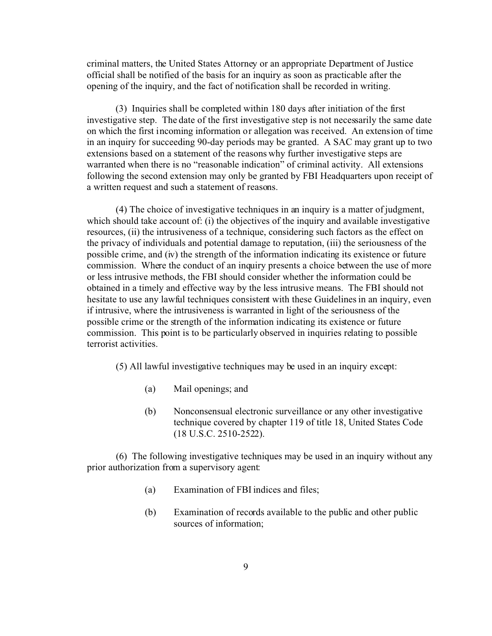criminal matters, the United States Attorney or an appropriate Department of Justice official shall be notified of the basis for an inquiry as soon as practicable after the opening of the inquiry, and the fact of notification shall be recorded in writing.

(3) Inquiries shall be completed within 180 days after initiation of the first investigative step. The date of the first investigative step is not necessarily the same date on which the first incoming information or allegation was received. An extension of time in an inquiry for succeeding 90-day periods may be granted. A SAC may grant up to two extensions based on a statement of the reasons why further investigative steps are warranted when there is no "reasonable indication" of criminal activity. All extensions following the second extension may only be granted by FBI Headquarters upon receipt of a written request and such a statement of reasons.

(4) The choice of investigative techniques in an inquiry is a matter of judgment, which should take account of: (i) the objectives of the inquiry and available investigative resources, (ii) the intrusiveness of a technique, considering such factors as the effect on the privacy of individuals and potential damage to reputation, (iii) the seriousness of the possible crime, and (iv) the strength of the information indicating its existence or future commission. Where the conduct of an inquiry presents a choice between the use of more or less intrusive methods, the FBI should consider whether the information could be obtained in a timely and effective way by the less intrusive means. The FBI should not hesitate to use any lawful techniques consistent with these Guidelines in an inquiry, even if intrusive, where the intrusiveness is warranted in light of the seriousness of the possible crime or the strength of the information indicating its existence or future commission. This point is to be particularly observed in inquiries relating to possible terrorist activities.

(5) All lawful investigative techniques may be used in an inquiry except:

- (a) Mail openings; and
- (b) Nonconsensual electronic surveillance or any other investigative technique covered by chapter 119 of title 18, United States Code (18 U.S.C. 2510-2522).

(6) The following investigative techniques may be used in an inquiry without any prior authorization from a supervisory agent:

- (a) Examination of FBI indices and files;
- (b) Examination of records available to the public and other public sources of information;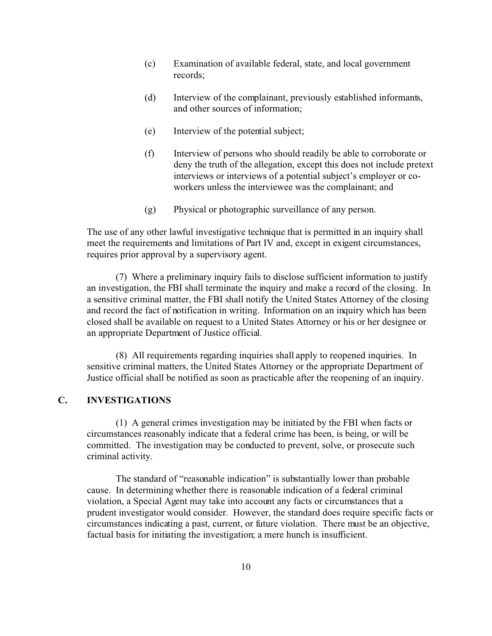- (c) Examination of available federal, state, and local government records;
- (d) Interview of the complainant, previously established informants, and other sources of information;
- (e) Interview of the potential subject;
- (f) Interview of persons who should readily be able to corroborate or deny the truth of the allegation, except this does not include pretext interviews or interviews of a potential subject's employer or coworkers unless the interviewee was the complainant; and
- (g) Physical or photographic surveillance of any person.

The use of any other lawful investigative technique that is permitted in an inquiry shall meet the requirements and limitations of Part IV and, except in exigent circumstances, requires prior approval by a supervisory agent.

(7) Where a preliminary inquiry fails to disclose sufficient information to justify an investigation, the FBI shall terminate the inquiry and make a record of the closing. In a sensitive criminal matter, the FBI shall notify the United States Attorney of the closing and record the fact of notification in writing. Information on an inquiry which has been closed shall be available on request to a United States Attorney or his or her designee or an appropriate Department of Justice official.

(8) All requirements regarding inquiries shall apply to reopened inquiries. In sensitive criminal matters, the United States Attorney or the appropriate Department of Justice official shall be notified as soon as practicable after the reopening of an inquiry.

## **C. INVESTIGATIONS**

(1) A general crimes investigation may be initiated by the FBI when facts or circumstances reasonably indicate that a federal crime has been, is being, or will be committed. The investigation may be conducted to prevent, solve, or prosecute such criminal activity.

The standard of "reasonable indication" is substantially lower than probable cause. In determining whether there is reasonable indication of a federal criminal violation, a Special Agent may take into account any facts or circumstances that a prudent investigator would consider. However, the standard does require specific facts or circumstances indicating a past, current, or future violation. There must be an objective, factual basis for initiating the investigation; a mere hunch is insufficient.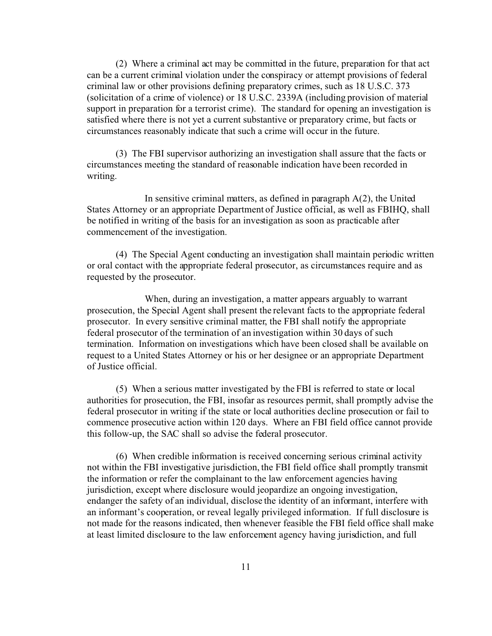(2) Where a criminal act may be committed in the future, preparation for that act can be a current criminal violation under the conspiracy or attempt provisions of federal criminal law or other provisions defining preparatory crimes, such as 18 U.S.C. 373 (solicitation of a crime of violence) or 18 U.S.C. 2339A (including provision of material support in preparation for a terrorist crime). The standard for opening an investigation is satisfied where there is not yet a current substantive or preparatory crime, but facts or circumstances reasonably indicate that such a crime will occur in the future.

(3) The FBI supervisor authorizing an investigation shall assure that the facts or circumstances meeting the standard of reasonable indication have been recorded in writing.

In sensitive criminal matters, as defined in paragraph  $A(2)$ , the United States Attorney or an appropriate Department of Justice official, as well as FBIHQ, shall be notified in writing of the basis for an investigation as soon as practicable after commencement of the investigation.

(4) The Special Agent conducting an investigation shall maintain periodic written or oral contact with the appropriate federal prosecutor, as circumstances require and as requested by the prosecutor.

When, during an investigation, a matter appears arguably to warrant prosecution, the Special Agent shall present the relevant facts to the appropriate federal prosecutor. In every sensitive criminal matter, the FBI shall notify the appropriate federal prosecutor of the termination of an investigation within 30 days of such termination. Information on investigations which have been closed shall be available on request to a United States Attorney or his or her designee or an appropriate Department of Justice official.

(5) When a serious matter investigated by the FBI is referred to state or local authorities for prosecution, the FBI, insofar as resources permit, shall promptly advise the federal prosecutor in writing if the state or local authorities decline prosecution or fail to commence prosecutive action within 120 days. Where an FBI field office cannot provide this follow-up, the SAC shall so advise the federal prosecutor.

(6) When credible information is received concerning serious criminal activity not within the FBI investigative jurisdiction, the FBI field office shall promptly transmit the information or refer the complainant to the law enforcement agencies having jurisdiction, except where disclosure would jeopardize an ongoing investigation, endanger the safety of an individual, disclose the identity of an informant, interfere with an informant's cooperation, or reveal legally privileged information. If full disclosure is not made for the reasons indicated, then whenever feasible the FBI field office shall make at least limited disclosure to the law enforcement agency having jurisdiction, and full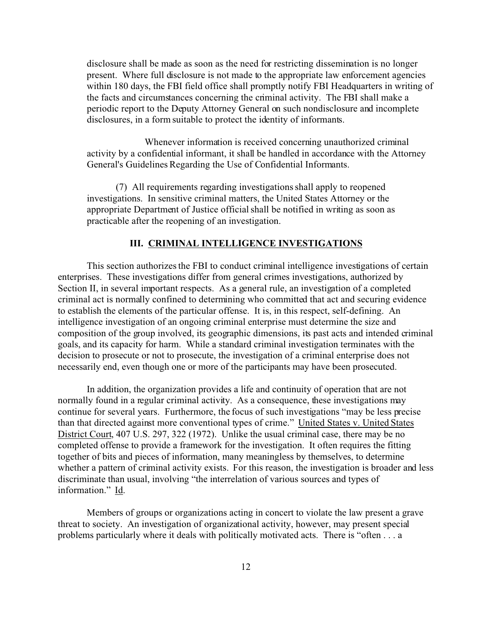disclosure shall be made as soon as the need for restricting dissemination is no longer present. Where full disclosure is not made to the appropriate law enforcement agencies within 180 days, the FBI field office shall promptly notify FBI Headquarters in writing of the facts and circumstances concerning the criminal activity. The FBI shall make a periodic report to the Deputy Attorney General on such nondisclosure and incomplete disclosures, in a form suitable to protect the identity of informants.

Whenever information is received concerning unauthorized criminal activity by a confidential informant, it shall be handled in accordance with the Attorney General's Guidelines Regarding the Use of Confidential Informants.

(7) All requirements regarding investigations shall apply to reopened investigations. In sensitive criminal matters, the United States Attorney or the appropriate Department of Justice official shall be notified in writing as soon as practicable after the reopening of an investigation.

#### **III. CRIMINAL INTELLIGENCE INVESTIGATIONS**

This section authorizes the FBI to conduct criminal intelligence investigations of certain enterprises. These investigations differ from general crimes investigations, authorized by Section II, in several important respects. As a general rule, an investigation of a completed criminal act is normally confined to determining who committed that act and securing evidence to establish the elements of the particular offense. It is, in this respect, self-defining. An intelligence investigation of an ongoing criminal enterprise must determine the size and composition of the group involved, its geographic dimensions, its past acts and intended criminal goals, and its capacity for harm. While a standard criminal investigation terminates with the decision to prosecute or not to prosecute, the investigation of a criminal enterprise does not necessarily end, even though one or more of the participants may have been prosecuted.

In addition, the organization provides a life and continuity of operation that are not normally found in a regular criminal activity. As a consequence, these investigations may continue for several years. Furthermore, the focus of such investigations "may be less precise than that directed against more conventional types of crime." United States v. United States District Court, 407 U.S. 297, 322 (1972). Unlike the usual criminal case, there may be no completed offense to provide a framework for the investigation. It often requires the fitting together of bits and pieces of information, many meaningless by themselves, to determine whether a pattern of criminal activity exists. For this reason, the investigation is broader and less discriminate than usual, involving "the interrelation of various sources and types of information." Id.

Members of groups or organizations acting in concert to violate the law present a grave threat to society. An investigation of organizational activity, however, may present special problems particularly where it deals with politically motivated acts. There is "often . . . a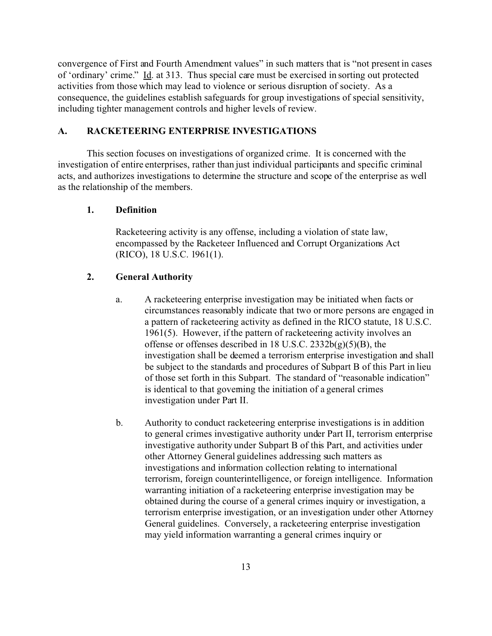convergence of First and Fourth Amendment values" in such matters that is "not present in cases of 'ordinary' crime." Id. at 313. Thus special care must be exercised in sorting out protected activities from those which may lead to violence or serious disruption of society. As a consequence, the guidelines establish safeguards for group investigations of special sensitivity, including tighter management controls and higher levels of review.

## **A. RACKETEERING ENTERPRISE INVESTIGATIONS**

This section focuses on investigations of organized crime. It is concerned with the investigation of entire enterprises, rather than just individual participants and specific criminal acts, and authorizes investigations to determine the structure and scope of the enterprise as well as the relationship of the members.

#### **1. Definition**

Racketeering activity is any offense, including a violation of state law, encompassed by the Racketeer Influenced and Corrupt Organizations Act (RICO), 18 U.S.C. 1961(1).

#### **2. General Authority**

- a. A racketeering enterprise investigation may be initiated when facts or circumstances reasonably indicate that two or more persons are engaged in a pattern of racketeering activity as defined in the RICO statute, 18 U.S.C. 1961(5). However, if the pattern of racketeering activity involves an offense or offenses described in 18 U.S.C.  $2332b(g)(5)(B)$ , the investigation shall be deemed a terrorism enterprise investigation and shall be subject to the standards and procedures of Subpart B of this Part in lieu of those set forth in this Subpart. The standard of "reasonable indication" is identical to that governing the initiation of a general crimes investigation under Part II.
- b. Authority to conduct racketeering enterprise investigations is in addition to general crimes investigative authority under Part II, terrorism enterprise investigative authority under Subpart B of this Part, and activities under other Attorney General guidelines addressing such matters as investigations and information collection relating to international terrorism, foreign counterintelligence, or foreign intelligence. Information warranting initiation of a racketeering enterprise investigation may be obtained during the course of a general crimes inquiry or investigation, a terrorism enterprise investigation, or an investigation under other Attorney General guidelines. Conversely, a racketeering enterprise investigation may yield information warranting a general crimes inquiry or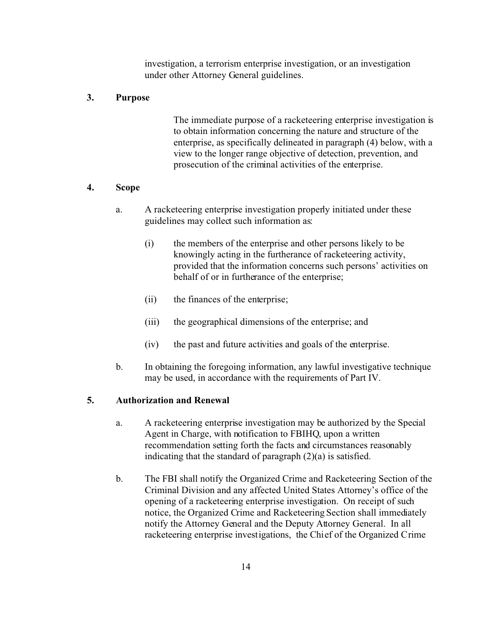investigation, a terrorism enterprise investigation, or an investigation under other Attorney General guidelines.

## **3. Purpose**

The immediate purpose of a racketeering enterprise investigation is to obtain information concerning the nature and structure of the enterprise, as specifically delineated in paragraph (4) below, with a view to the longer range objective of detection, prevention, and prosecution of the criminal activities of the enterprise.

#### **4. Scope**

- a. A racketeering enterprise investigation properly initiated under these guidelines may collect such information as:
	- (i) the members of the enterprise and other persons likely to be knowingly acting in the furtherance of racketeering activity, provided that the information concerns such persons' activities on behalf of or in furtherance of the enterprise;
	- (ii) the finances of the enterprise;
	- (iii) the geographical dimensions of the enterprise; and
	- (iv) the past and future activities and goals of the enterprise.
- b. In obtaining the foregoing information, any lawful investigative technique may be used, in accordance with the requirements of Part IV.

## **5. Authorization and Renewal**

- a. A racketeering enterprise investigation may be authorized by the Special Agent in Charge, with notification to FBIHQ, upon a written recommendation setting forth the facts and circumstances reasonably indicating that the standard of paragraph (2)(a) is satisfied.
- b. The FBI shall notify the Organized Crime and Racketeering Section of the Criminal Division and any affected United States Attorney's office of the opening of a racketeering enterprise investigation. On receipt of such notice, the Organized Crime and Racketeering Section shall immediately notify the Attorney General and the Deputy Attorney General. In all racketeering enterprise investigations, the Chief of the Organized Crime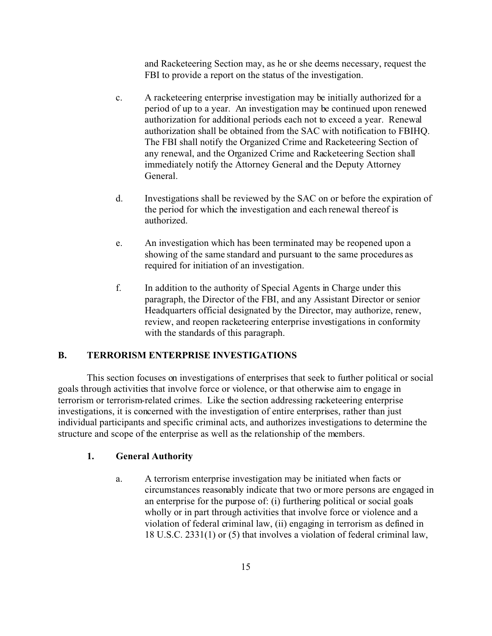and Racketeering Section may, as he or she deems necessary, request the FBI to provide a report on the status of the investigation.

- c. A racketeering enterprise investigation may be initially authorized for a period of up to a year. An investigation may be continued upon renewed authorization for additional periods each not to exceed a year. Renewal authorization shall be obtained from the SAC with notification to FBIHQ. The FBI shall notify the Organized Crime and Racketeering Section of any renewal, and the Organized Crime and Racketeering Section shall immediately notify the Attorney General and the Deputy Attorney General.
- d. Investigations shall be reviewed by the SAC on or before the expiration of the period for which the investigation and each renewal thereof is authorized.
- e. An investigation which has been terminated may be reopened upon a showing of the same standard and pursuant to the same procedures as required for initiation of an investigation.
- f. In addition to the authority of Special Agents in Charge under this paragraph, the Director of the FBI, and any Assistant Director or senior Headquarters official designated by the Director, may authorize, renew, review, and reopen racketeering enterprise investigations in conformity with the standards of this paragraph.

## **B. TERRORISM ENTERPRISE INVESTIGATIONS**

This section focuses on investigations of enterprises that seek to further political or social goals through activities that involve force or violence, or that otherwise aim to engage in terrorism or terrorism-related crimes. Like the section addressing racketeering enterprise investigations, it is concerned with the investigation of entire enterprises, rather than just individual participants and specific criminal acts, and authorizes investigations to determine the structure and scope of the enterprise as well as the relationship of the members.

#### **1. General Authority**

a. A terrorism enterprise investigation may be initiated when facts or circumstances reasonably indicate that two or more persons are engaged in an enterprise for the purpose of: (i) furthering political or social goals wholly or in part through activities that involve force or violence and a violation of federal criminal law, (ii) engaging in terrorism as defined in 18 U.S.C. 2331(1) or (5) that involves a violation of federal criminal law,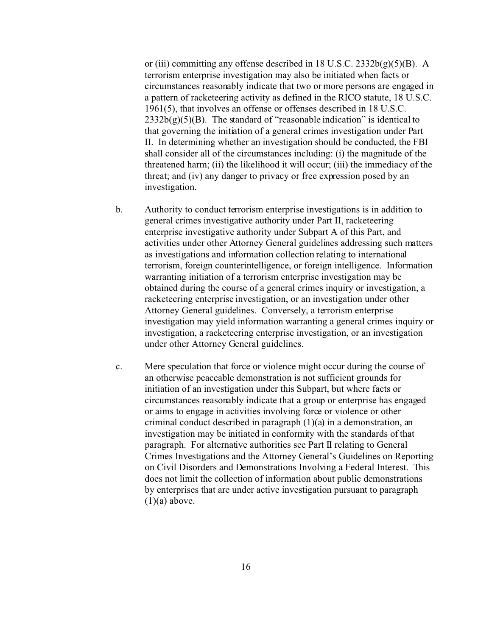or (iii) committing any offense described in  $18 \text{ U.S. C. } 2332b(g)(5)(B)$ . A terrorism enterprise investigation may also be initiated when facts or circumstances reasonably indicate that two or more persons are engaged in a pattern of racketeering activity as defined in the RICO statute, 18 U.S.C. 1961(5), that involves an offense or offenses described in 18 U.S.C.  $2332b(g)(5)(B)$ . The standard of "reasonable indication" is identical to that governing the initiation of a general crimes investigation under Part II. In determining whether an investigation should be conducted, the FBI shall consider all of the circumstances including: (i) the magnitude of the threatened harm; (ii) the likelihood it will occur; (iii) the immediacy of the threat; and (iv) any danger to privacy or free expression posed by an investigation.

- b. Authority to conduct terrorism enterprise investigations is in addition to general crimes investigative authority under Part II, racketeering enterprise investigative authority under Subpart A of this Part, and activities under other Attorney General guidelines addressing such matters as investigations and information collection relating to international terrorism, foreign counterintelligence, or foreign intelligence. Information warranting initiation of a terrorism enterprise investigation may be obtained during the course of a general crimes inquiry or investigation, a racketeering enterprise investigation, or an investigation under other Attorney General guidelines. Conversely, a terrorism enterprise investigation may yield information warranting a general crimes inquiry or investigation, a racketeering enterprise investigation, or an investigation under other Attorney General guidelines.
- c. Mere speculation that force or violence might occur during the course of an otherwise peaceable demonstration is not sufficient grounds for initiation of an investigation under this Subpart, but where facts or circumstances reasonably indicate that a group or enterprise has engaged or aims to engage in activities involving force or violence or other criminal conduct described in paragraph  $(1)(a)$  in a demonstration, an investigation may be initiated in conformity with the standards of that paragraph. For alternative authorities see Part II relating to General Crimes Investigations and the Attorney General's Guidelines on Reporting on Civil Disorders and Demonstrations Involving a Federal Interest. This does not limit the collection of information about public demonstrations by enterprises that are under active investigation pursuant to paragraph  $(1)(a)$  above.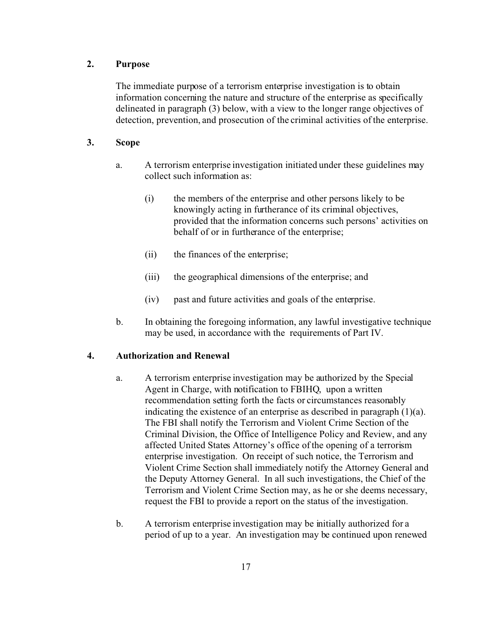## **2. Purpose**

The immediate purpose of a terrorism enterprise investigation is to obtain information concerning the nature and structure of the enterprise as specifically delineated in paragraph (3) below, with a view to the longer range objectives of detection, prevention, and prosecution of the criminal activities of the enterprise.

#### **3. Scope**

- a. A terrorism enterprise investigation initiated under these guidelines may collect such information as:
	- (i) the members of the enterprise and other persons likely to be knowingly acting in furtherance of its criminal objectives, provided that the information concerns such persons' activities on behalf of or in furtherance of the enterprise;
	- (ii) the finances of the enterprise;
	- (iii) the geographical dimensions of the enterprise; and
	- (iv) past and future activities and goals of the enterprise.
- b. In obtaining the foregoing information, any lawful investigative technique may be used, in accordance with the requirements of Part IV.

#### **4. Authorization and Renewal**

- a. A terrorism enterprise investigation may be authorized by the Special Agent in Charge, with notification to FBIHQ, upon a written recommendation setting forth the facts or circumstances reasonably indicating the existence of an enterprise as described in paragraph (1)(a). The FBI shall notify the Terrorism and Violent Crime Section of the Criminal Division, the Office of Intelligence Policy and Review, and any affected United States Attorney's office of the opening of a terrorism enterprise investigation. On receipt of such notice, the Terrorism and Violent Crime Section shall immediately notify the Attorney General and the Deputy Attorney General. In all such investigations, the Chief of the Terrorism and Violent Crime Section may, as he or she deems necessary, request the FBI to provide a report on the status of the investigation.
- b. A terrorism enterprise investigation may be initially authorized for a period of up to a year. An investigation may be continued upon renewed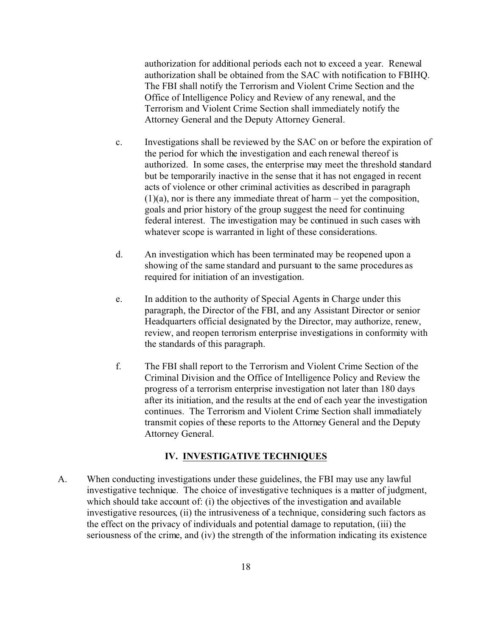authorization for additional periods each not to exceed a year. Renewal authorization shall be obtained from the SAC with notification to FBIHQ. The FBI shall notify the Terrorism and Violent Crime Section and the Office of Intelligence Policy and Review of any renewal, and the Terrorism and Violent Crime Section shall immediately notify the Attorney General and the Deputy Attorney General.

- c. Investigations shall be reviewed by the SAC on or before the expiration of the period for which the investigation and each renewal thereof is authorized. In some cases, the enterprise may meet the threshold standard but be temporarily inactive in the sense that it has not engaged in recent acts of violence or other criminal activities as described in paragraph  $(1)(a)$ , nor is there any immediate threat of harm – yet the composition, goals and prior history of the group suggest the need for continuing federal interest. The investigation may be continued in such cases with whatever scope is warranted in light of these considerations.
- d. An investigation which has been terminated may be reopened upon a showing of the same standard and pursuant to the same procedures as required for initiation of an investigation.
- e. In addition to the authority of Special Agents in Charge under this paragraph, the Director of the FBI, and any Assistant Director or senior Headquarters official designated by the Director, may authorize, renew, review, and reopen terrorism enterprise investigations in conformity with the standards of this paragraph.
- f. The FBI shall report to the Terrorism and Violent Crime Section of the Criminal Division and the Office of Intelligence Policy and Review the progress of a terrorism enterprise investigation not later than 180 days after its initiation, and the results at the end of each year the investigation continues. The Terrorism and Violent Crime Section shall immediately transmit copies of these reports to the Attorney General and the Deputy Attorney General.

#### **IV. INVESTIGATIVE TECHNIQUES**

A. When conducting investigations under these guidelines, the FBI may use any lawful investigative technique. The choice of investigative techniques is a matter of judgment, which should take account of: (i) the objectives of the investigation and available investigative resources, (ii) the intrusiveness of a technique, considering such factors as the effect on the privacy of individuals and potential damage to reputation, (iii) the seriousness of the crime, and (iv) the strength of the information indicating its existence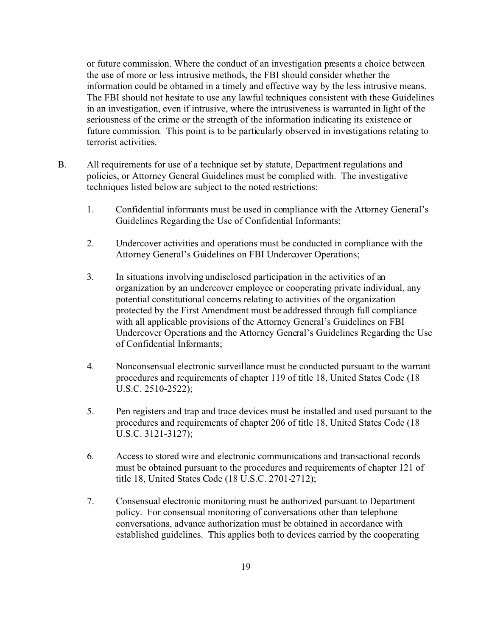or future commission. Where the conduct of an investigation presents a choice between the use of more or less intrusive methods, the FBI should consider whether the information could be obtained in a timely and effective way by the less intrusive means. The FBI should not hesitate to use any lawful techniques consistent with these Guidelines in an investigation, even if intrusive, where the intrusiveness is warranted in light of the seriousness of the crime or the strength of the information indicating its existence or future commission. This point is to be particularly observed in investigations relating to terrorist activities.

- B. All requirements for use of a technique set by statute, Department regulations and policies, or Attorney General Guidelines must be complied with. The investigative techniques listed below are subject to the noted restrictions:
	- 1. Confidential informants must be used in compliance with the Attorney General's Guidelines Regarding the Use of Confidential Informants;
	- 2. Undercover activities and operations must be conducted in compliance with the Attorney General's Guidelines on FBI Undercover Operations;
	- 3. In situations involving undisclosed participation in the activities of an organization by an undercover employee or cooperating private individual, any potential constitutional concerns relating to activities of the organization protected by the First Amendment must be addressed through full compliance with all applicable provisions of the Attorney General's Guidelines on FBI Undercover Operations and the Attorney General's Guidelines Regarding the Use of Confidential Informants;
	- 4. Nonconsensual electronic surveillance must be conducted pursuant to the warrant procedures and requirements of chapter 119 of title 18, United States Code (18 U.S.C. 2510-2522);
	- 5. Pen registers and trap and trace devices must be installed and used pursuant to the procedures and requirements of chapter 206 of title 18, United States Code (18 U.S.C. 3121-3127);
	- 6. Access to stored wire and electronic communications and transactional records must be obtained pursuant to the procedures and requirements of chapter 121 of title 18, United States Code (18 U.S.C. 2701-2712);
	- 7. Consensual electronic monitoring must be authorized pursuant to Department policy. For consensual monitoring of conversations other than telephone conversations, advance authorization must be obtained in accordance with established guidelines. This applies both to devices carried by the cooperating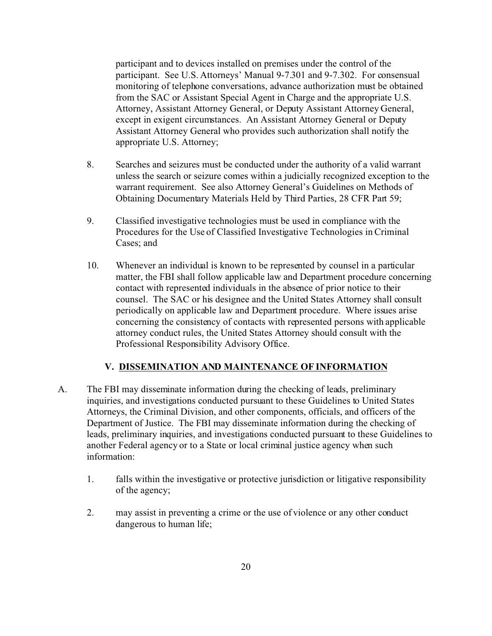participant and to devices installed on premises under the control of the participant. See U.S. Attorneys' Manual 9-7.301 and 9-7.302. For consensual monitoring of telephone conversations, advance authorization must be obtained from the SAC or Assistant Special Agent in Charge and the appropriate U.S. Attorney, Assistant Attorney General, or Deputy Assistant Attorney General, except in exigent circumstances. An Assistant Attorney General or Deputy Assistant Attorney General who provides such authorization shall notify the appropriate U.S. Attorney;

- 8. Searches and seizures must be conducted under the authority of a valid warrant unless the search or seizure comes within a judicially recognized exception to the warrant requirement. See also Attorney General's Guidelines on Methods of Obtaining Documentary Materials Held by Third Parties, 28 CFR Part 59;
- 9. Classified investigative technologies must be used in compliance with the Procedures for the Use of Classified Investigative Technologies in Criminal Cases; and
- 10. Whenever an individual is known to be represented by counsel in a particular matter, the FBI shall follow applicable law and Department procedure concerning contact with represented individuals in the absence of prior notice to their counsel. The SAC or his designee and the United States Attorney shall consult periodically on applicable law and Department procedure. Where issues arise concerning the consistency of contacts with represented persons with applicable attorney conduct rules, the United States Attorney should consult with the Professional Responsibility Advisory Office.

## **V. DISSEMINATION AND MAINTENANCE OF INFORMATION**

- A. The FBI may disseminate information during the checking of leads, preliminary inquiries, and investigations conducted pursuant to these Guidelines to United States Attorneys, the Criminal Division, and other components, officials, and officers of the Department of Justice. The FBI may disseminate information during the checking of leads, preliminary inquiries, and investigations conducted pursuant to these Guidelines to another Federal agency or to a State or local criminal justice agency when such information:
	- 1. falls within the investigative or protective jurisdiction or litigative responsibility of the agency;
	- 2. may assist in preventing a crime or the use of violence or any other conduct dangerous to human life;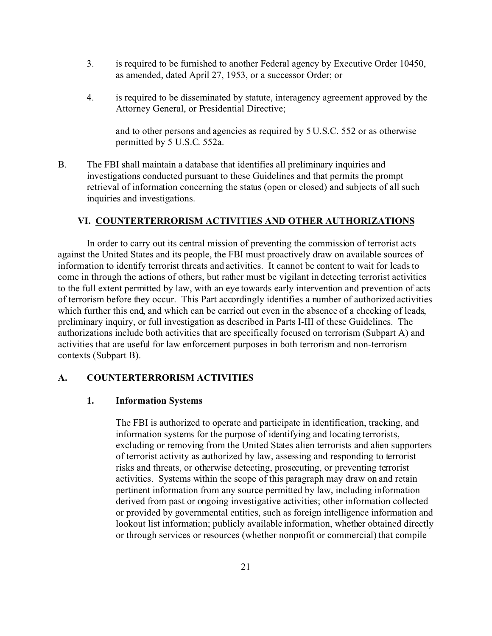- 3. is required to be furnished to another Federal agency by Executive Order 10450, as amended, dated April 27, 1953, or a successor Order; or
- 4. is required to be disseminated by statute, interagency agreement approved by the Attorney General, or Presidential Directive;

and to other persons and agencies as required by 5 U.S.C. 552 or as otherwise permitted by 5 U.S.C. 552a.

B. The FBI shall maintain a database that identifies all preliminary inquiries and investigations conducted pursuant to these Guidelines and that permits the prompt retrieval of information concerning the status (open or closed) and subjects of all such inquiries and investigations.

## **VI. COUNTERTERRORISM ACTIVITIES AND OTHER AUTHORIZATIONS**

In order to carry out its central mission of preventing the commission of terrorist acts against the United States and its people, the FBI must proactively draw on available sources of information to identify terrorist threats and activities. It cannot be content to wait for leads to come in through the actions of others, but rather must be vigilant in detecting terrorist activities to the full extent permitted by law, with an eye towards early intervention and prevention of acts of terrorism before they occur. This Part accordingly identifies a number of authorized activities which further this end, and which can be carried out even in the absence of a checking of leads, preliminary inquiry, or full investigation as described in Parts I-III of these Guidelines. The authorizations include both activities that are specifically focused on terrorism (Subpart A) and activities that are useful for law enforcement purposes in both terrorism and non-terrorism contexts (Subpart B).

#### **A. COUNTERTERRORISM ACTIVITIES**

#### **1. Information Systems**

The FBI is authorized to operate and participate in identification, tracking, and information systems for the purpose of identifying and locating terrorists, excluding or removing from the United States alien terrorists and alien supporters of terrorist activity as authorized by law, assessing and responding to terrorist risks and threats, or otherwise detecting, prosecuting, or preventing terrorist activities. Systems within the scope of this paragraph may draw on and retain pertinent information from any source permitted by law, including information derived from past or ongoing investigative activities; other information collected or provided by governmental entities, such as foreign intelligence information and lookout list information; publicly available information, whether obtained directly or through services or resources (whether nonprofit or commercial) that compile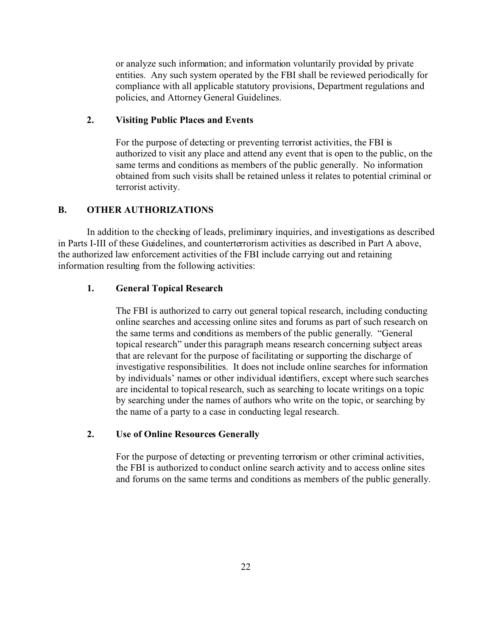or analyze such information; and information voluntarily provided by private entities. Any such system operated by the FBI shall be reviewed periodically for compliance with all applicable statutory provisions, Department regulations and policies, and Attorney General Guidelines.

## **2. Visiting Public Places and Events**

For the purpose of detecting or preventing terrorist activities, the FBI is authorized to visit any place and attend any event that is open to the public, on the same terms and conditions as members of the public generally. No information obtained from such visits shall be retained unless it relates to potential criminal or terrorist activity.

#### **B. OTHER AUTHORIZATIONS**

In addition to the checking of leads, preliminary inquiries, and investigations as described in Parts I-III of these Guidelines, and counterterrorism activities as described in Part A above, the authorized law enforcement activities of the FBI include carrying out and retaining information resulting from the following activities:

## **1. General Topical Research**

The FBI is authorized to carry out general topical research, including conducting online searches and accessing online sites and forums as part of such research on the same terms and conditions as members of the public generally. "General topical research" under this paragraph means research concerning subject areas that are relevant for the purpose of facilitating or supporting the discharge of investigative responsibilities. It does not include online searches for information by individuals' names or other individual identifiers, except where such searches are incidental to topical research, such as searching to locate writings on a topic by searching under the names of authors who write on the topic, or searching by the name of a party to a case in conducting legal research.

#### **2. Use of Online Resources Generally**

For the purpose of detecting or preventing terrorism or other criminal activities, the FBI is authorized to conduct online search activity and to access online sites and forums on the same terms and conditions as members of the public generally.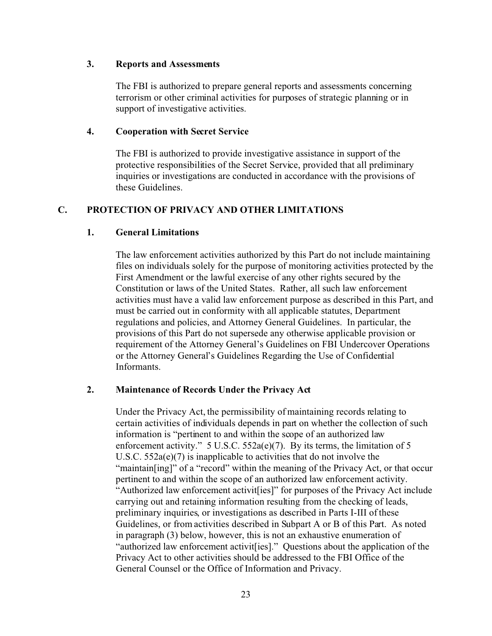## **3. Reports and Assessments**

The FBI is authorized to prepare general reports and assessments concerning terrorism or other criminal activities for purposes of strategic planning or in support of investigative activities.

## **4. Cooperation with Secret Service**

The FBI is authorized to provide investigative assistance in support of the protective responsibilities of the Secret Service, provided that all preliminary inquiries or investigations are conducted in accordance with the provisions of these Guidelines.

# **C. PROTECTION OF PRIVACY AND OTHER LIMITATIONS**

# **1. General Limitations**

The law enforcement activities authorized by this Part do not include maintaining files on individuals solely for the purpose of monitoring activities protected by the First Amendment or the lawful exercise of any other rights secured by the Constitution or laws of the United States. Rather, all such law enforcement activities must have a valid law enforcement purpose as described in this Part, and must be carried out in conformity with all applicable statutes, Department regulations and policies, and Attorney General Guidelines. In particular, the provisions of this Part do not supersede any otherwise applicable provision or requirement of the Attorney General's Guidelines on FBI Undercover Operations or the Attorney General's Guidelines Regarding the Use of Confidential Informants.

## **2. Maintenance of Records Under the Privacy Act**

Under the Privacy Act, the permissibility of maintaining records relating to certain activities of individuals depends in part on whether the collection of such information is "pertinent to and within the scope of an authorized law enforcement activity." 5 U.S.C. 552a(e)(7). By its terms, the limitation of 5 U.S.C. 552a(e)(7) is inapplicable to activities that do not involve the "maintain[ing]" of a "record" within the meaning of the Privacy Act, or that occur pertinent to and within the scope of an authorized law enforcement activity. "Authorized law enforcement activit[ies]" for purposes of the Privacy Act include carrying out and retaining information resulting from the checking of leads, preliminary inquiries, or investigations as described in Parts I-III of these Guidelines, or from activities described in Subpart A or B of this Part. As noted in paragraph (3) below, however, this is not an exhaustive enumeration of "authorized law enforcement activit[ies]." Questions about the application of the Privacy Act to other activities should be addressed to the FBI Office of the General Counsel or the Office of Information and Privacy.